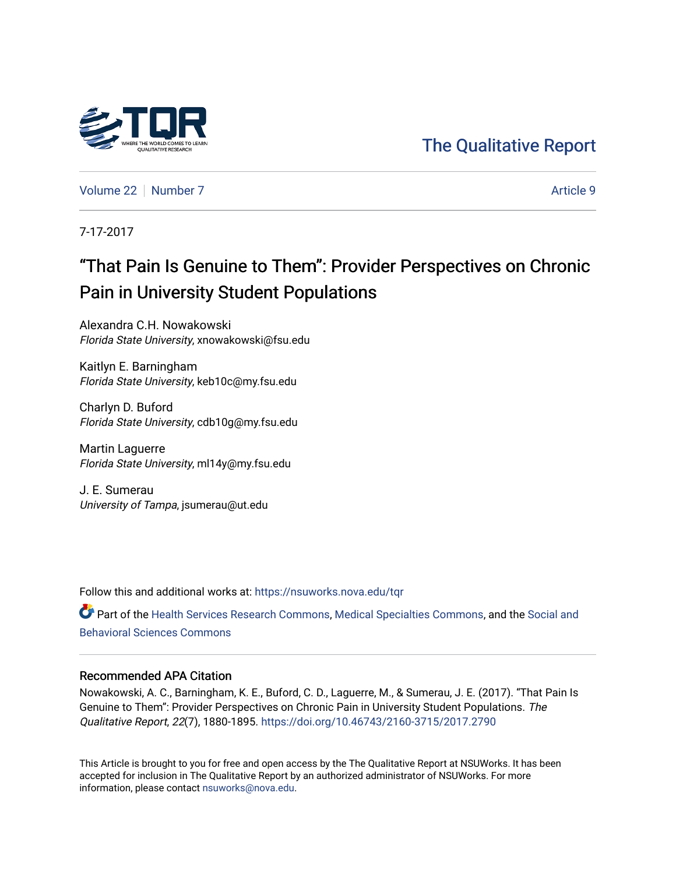## [The Qualitative Report](https://nsuworks.nova.edu/tqr)

[Volume 22](https://nsuworks.nova.edu/tqr/vol22) [Number 7](https://nsuworks.nova.edu/tqr/vol22/iss7) Article 9

7-17-2017

## "That Pain Is Genuine to Them": Provider Perspectives on Chronic Pain in University Student Populations

Alexandra C.H. Nowakowski Florida State University, xnowakowski@fsu.edu

Kaitlyn E. Barningham Florida State University, keb10c@my.fsu.edu

Charlyn D. Buford Florida State University, cdb10g@my.fsu.edu

Martin Laguerre Florida State University, ml14y@my.fsu.edu

J. E. Sumerau University of Tampa, jsumerau@ut.edu

Follow this and additional works at: [https://nsuworks.nova.edu/tqr](https://nsuworks.nova.edu/tqr?utm_source=nsuworks.nova.edu%2Ftqr%2Fvol22%2Fiss7%2F9&utm_medium=PDF&utm_campaign=PDFCoverPages) 

Part of the [Health Services Research Commons,](http://network.bepress.com/hgg/discipline/816?utm_source=nsuworks.nova.edu%2Ftqr%2Fvol22%2Fiss7%2F9&utm_medium=PDF&utm_campaign=PDFCoverPages) [Medical Specialties Commons](http://network.bepress.com/hgg/discipline/680?utm_source=nsuworks.nova.edu%2Ftqr%2Fvol22%2Fiss7%2F9&utm_medium=PDF&utm_campaign=PDFCoverPages), and the [Social and](http://network.bepress.com/hgg/discipline/316?utm_source=nsuworks.nova.edu%2Ftqr%2Fvol22%2Fiss7%2F9&utm_medium=PDF&utm_campaign=PDFCoverPages) [Behavioral Sciences Commons](http://network.bepress.com/hgg/discipline/316?utm_source=nsuworks.nova.edu%2Ftqr%2Fvol22%2Fiss7%2F9&utm_medium=PDF&utm_campaign=PDFCoverPages) 

#### Recommended APA Citation

Nowakowski, A. C., Barningham, K. E., Buford, C. D., Laguerre, M., & Sumerau, J. E. (2017). "That Pain Is Genuine to Them": Provider Perspectives on Chronic Pain in University Student Populations. The Qualitative Report, 22(7), 1880-1895. <https://doi.org/10.46743/2160-3715/2017.2790>

This Article is brought to you for free and open access by the The Qualitative Report at NSUWorks. It has been accepted for inclusion in The Qualitative Report by an authorized administrator of NSUWorks. For more information, please contact [nsuworks@nova.edu.](mailto:nsuworks@nova.edu)

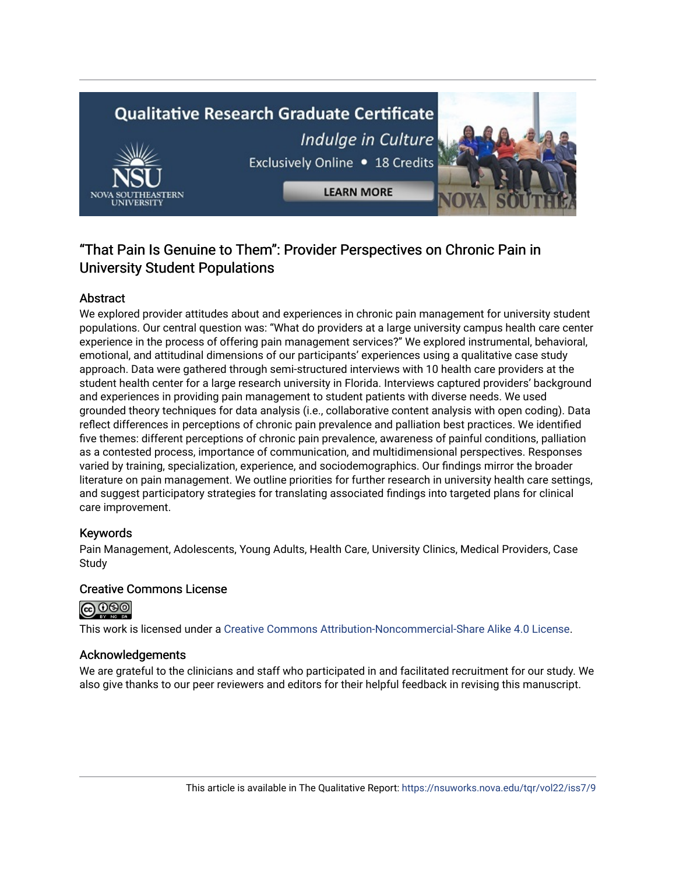# **Qualitative Research Graduate Certificate** Indulge in Culture Exclusively Online . 18 Credits **LEARN MORE**

## "That Pain Is Genuine to Them": Provider Perspectives on Chronic Pain in University Student Populations

#### Abstract

We explored provider attitudes about and experiences in chronic pain management for university student populations. Our central question was: "What do providers at a large university campus health care center experience in the process of offering pain management services?" We explored instrumental, behavioral, emotional, and attitudinal dimensions of our participants' experiences using a qualitative case study approach. Data were gathered through semi-structured interviews with 10 health care providers at the student health center for a large research university in Florida. Interviews captured providers' background and experiences in providing pain management to student patients with diverse needs. We used grounded theory techniques for data analysis (i.e., collaborative content analysis with open coding). Data reflect differences in perceptions of chronic pain prevalence and palliation best practices. We identified five themes: different perceptions of chronic pain prevalence, awareness of painful conditions, palliation as a contested process, importance of communication, and multidimensional perspectives. Responses varied by training, specialization, experience, and sociodemographics. Our findings mirror the broader literature on pain management. We outline priorities for further research in university health care settings, and suggest participatory strategies for translating associated findings into targeted plans for clinical care improvement.

#### Keywords

Pain Management, Adolescents, Young Adults, Health Care, University Clinics, Medical Providers, Case Study

#### Creative Commons License



This work is licensed under a [Creative Commons Attribution-Noncommercial-Share Alike 4.0 License](https://creativecommons.org/licenses/by-nc-sa/4.0/).

#### Acknowledgements

We are grateful to the clinicians and staff who participated in and facilitated recruitment for our study. We also give thanks to our peer reviewers and editors for their helpful feedback in revising this manuscript.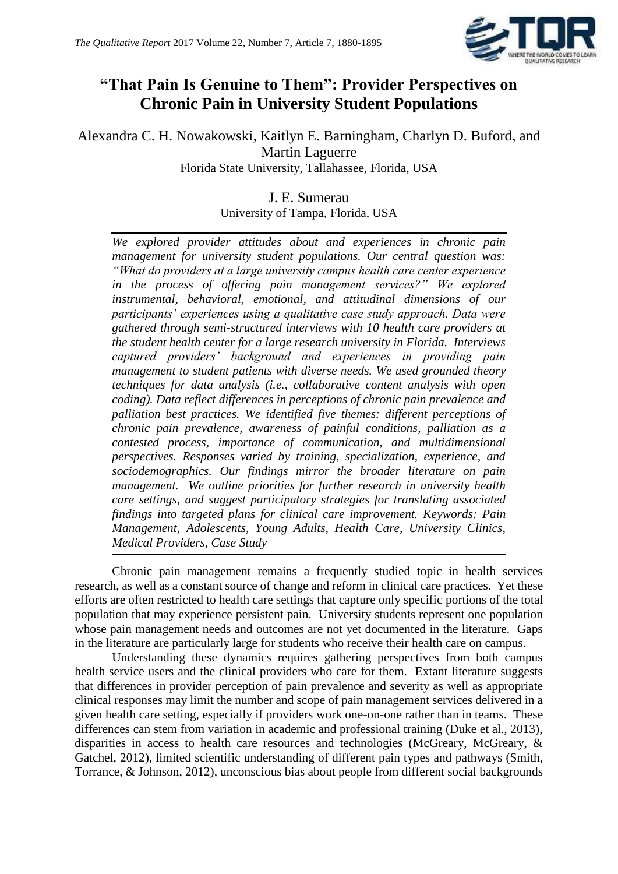

## **"That Pain Is Genuine to Them": Provider Perspectives on Chronic Pain in University Student Populations**

Alexandra C. H. Nowakowski, Kaitlyn E. Barningham, Charlyn D. Buford, and Martin Laguerre Florida State University, Tallahassee, Florida, USA

### J. E. Sumerau

University of Tampa, Florida, USA

*We explored provider attitudes about and experiences in chronic pain management for university student populations. Our central question was: "What do providers at a large university campus health care center experience in the process of offering pain management services?" We explored instrumental, behavioral, emotional, and attitudinal dimensions of our participants' experiences using a qualitative case study approach. Data were gathered through semi-structured interviews with 10 health care providers at the student health center for a large research university in Florida. Interviews captured providers' background and experiences in providing pain management to student patients with diverse needs. We used grounded theory techniques for data analysis (i.e., collaborative content analysis with open coding). Data reflect differences in perceptions of chronic pain prevalence and palliation best practices. We identified five themes: different perceptions of chronic pain prevalence, awareness of painful conditions, palliation as a contested process, importance of communication, and multidimensional perspectives. Responses varied by training, specialization, experience, and sociodemographics. Our findings mirror the broader literature on pain management. We outline priorities for further research in university health care settings, and suggest participatory strategies for translating associated findings into targeted plans for clinical care improvement. Keywords: Pain Management, Adolescents, Young Adults, Health Care, University Clinics, Medical Providers, Case Study*

Chronic pain management remains a frequently studied topic in health services research, as well as a constant source of change and reform in clinical care practices. Yet these efforts are often restricted to health care settings that capture only specific portions of the total population that may experience persistent pain. University students represent one population whose pain management needs and outcomes are not yet documented in the literature. Gaps in the literature are particularly large for students who receive their health care on campus.

Understanding these dynamics requires gathering perspectives from both campus health service users and the clinical providers who care for them. Extant literature suggests that differences in provider perception of pain prevalence and severity as well as appropriate clinical responses may limit the number and scope of pain management services delivered in a given health care setting, especially if providers work one-on-one rather than in teams. These differences can stem from variation in academic and professional training (Duke et al., 2013), disparities in access to health care resources and technologies (McGreary, McGreary, & Gatchel, 2012), limited scientific understanding of different pain types and pathways (Smith, Torrance, & Johnson, 2012), unconscious bias about people from different social backgrounds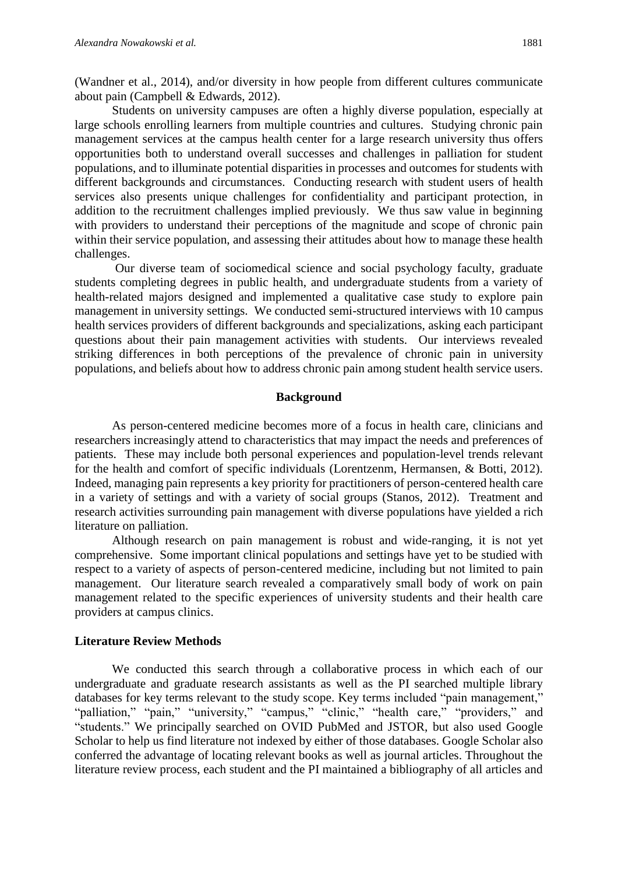(Wandner et al., 2014), and/or diversity in how people from different cultures communicate about pain (Campbell & Edwards, 2012).

Students on university campuses are often a highly diverse population, especially at large schools enrolling learners from multiple countries and cultures. Studying chronic pain management services at the campus health center for a large research university thus offers opportunities both to understand overall successes and challenges in palliation for student populations, and to illuminate potential disparities in processes and outcomes for students with different backgrounds and circumstances. Conducting research with student users of health services also presents unique challenges for confidentiality and participant protection, in addition to the recruitment challenges implied previously. We thus saw value in beginning with providers to understand their perceptions of the magnitude and scope of chronic pain within their service population, and assessing their attitudes about how to manage these health challenges.

Our diverse team of sociomedical science and social psychology faculty, graduate students completing degrees in public health, and undergraduate students from a variety of health-related majors designed and implemented a qualitative case study to explore pain management in university settings. We conducted semi-structured interviews with 10 campus health services providers of different backgrounds and specializations, asking each participant questions about their pain management activities with students. Our interviews revealed striking differences in both perceptions of the prevalence of chronic pain in university populations, and beliefs about how to address chronic pain among student health service users.

#### **Background**

As person-centered medicine becomes more of a focus in health care, clinicians and researchers increasingly attend to characteristics that may impact the needs and preferences of patients. These may include both personal experiences and population-level trends relevant for the health and comfort of specific individuals (Lorentzenm, Hermansen, & Botti, 2012). Indeed, managing pain represents a key priority for practitioners of person-centered health care in a variety of settings and with a variety of social groups (Stanos, 2012). Treatment and research activities surrounding pain management with diverse populations have yielded a rich literature on palliation.

Although research on pain management is robust and wide-ranging, it is not yet comprehensive. Some important clinical populations and settings have yet to be studied with respect to a variety of aspects of person-centered medicine, including but not limited to pain management. Our literature search revealed a comparatively small body of work on pain management related to the specific experiences of university students and their health care providers at campus clinics.

#### **Literature Review Methods**

We conducted this search through a collaborative process in which each of our undergraduate and graduate research assistants as well as the PI searched multiple library databases for key terms relevant to the study scope. Key terms included "pain management," "palliation," "pain," "university," "campus," "clinic," "health care," "providers," and "students." We principally searched on OVID PubMed and JSTOR, but also used Google Scholar to help us find literature not indexed by either of those databases. Google Scholar also conferred the advantage of locating relevant books as well as journal articles. Throughout the literature review process, each student and the PI maintained a bibliography of all articles and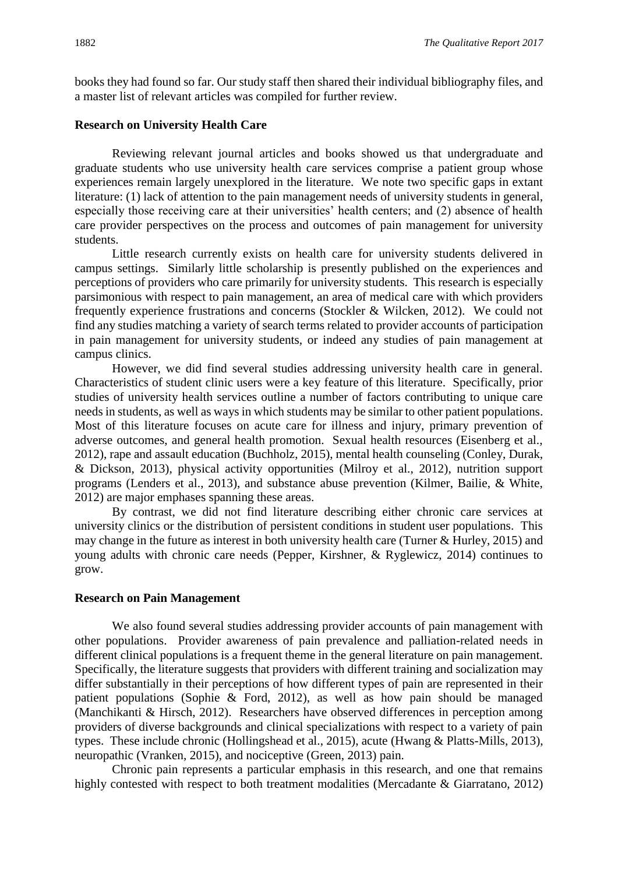books they had found so far. Our study staff then shared their individual bibliography files, and a master list of relevant articles was compiled for further review.

#### **Research on University Health Care**

Reviewing relevant journal articles and books showed us that undergraduate and graduate students who use university health care services comprise a patient group whose experiences remain largely unexplored in the literature. We note two specific gaps in extant literature: (1) lack of attention to the pain management needs of university students in general, especially those receiving care at their universities' health centers; and (2) absence of health care provider perspectives on the process and outcomes of pain management for university students.

Little research currently exists on health care for university students delivered in campus settings. Similarly little scholarship is presently published on the experiences and perceptions of providers who care primarily for university students. This research is especially parsimonious with respect to pain management, an area of medical care with which providers frequently experience frustrations and concerns (Stockler & Wilcken, 2012). We could not find any studies matching a variety of search terms related to provider accounts of participation in pain management for university students, or indeed any studies of pain management at campus clinics.

However, we did find several studies addressing university health care in general. Characteristics of student clinic users were a key feature of this literature. Specifically, prior studies of university health services outline a number of factors contributing to unique care needs in students, as well as ways in which students may be similar to other patient populations. Most of this literature focuses on acute care for illness and injury, primary prevention of adverse outcomes, and general health promotion. Sexual health resources (Eisenberg et al., 2012), rape and assault education (Buchholz, 2015), mental health counseling (Conley, Durak, & Dickson, 2013), physical activity opportunities (Milroy et al., 2012), nutrition support programs (Lenders et al., 2013), and substance abuse prevention (Kilmer, Bailie, & White, 2012) are major emphases spanning these areas.

By contrast, we did not find literature describing either chronic care services at university clinics or the distribution of persistent conditions in student user populations. This may change in the future as interest in both university health care (Turner & Hurley, 2015) and young adults with chronic care needs (Pepper, Kirshner, & Ryglewicz, 2014) continues to grow.

#### **Research on Pain Management**

We also found several studies addressing provider accounts of pain management with other populations.Provider awareness of pain prevalence and palliation-related needs in different clinical populations is a frequent theme in the general literature on pain management. Specifically, the literature suggests that providers with different training and socialization may differ substantially in their perceptions of how different types of pain are represented in their patient populations (Sophie & Ford, 2012), as well as how pain should be managed (Manchikanti & Hirsch, 2012). Researchers have observed differences in perception among providers of diverse backgrounds and clinical specializations with respect to a variety of pain types. These include chronic (Hollingshead et al., 2015), acute (Hwang & Platts-Mills, 2013), neuropathic (Vranken, 2015), and nociceptive (Green, 2013) pain.

Chronic pain represents a particular emphasis in this research, and one that remains highly contested with respect to both treatment modalities (Mercadante & Giarratano, 2012)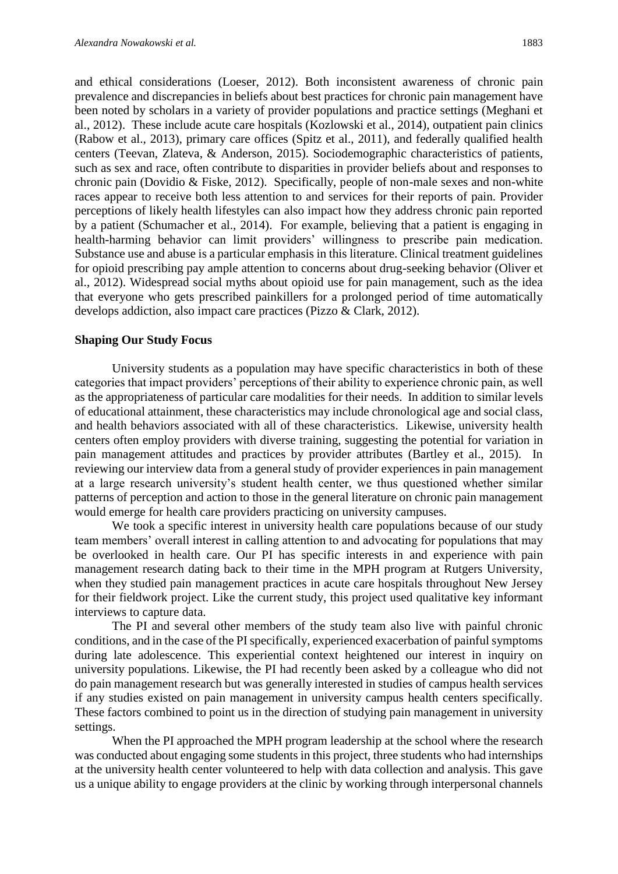and ethical considerations (Loeser, 2012). Both inconsistent awareness of chronic pain prevalence and discrepancies in beliefs about best practices for chronic pain management have been noted by scholars in a variety of provider populations and practice settings (Meghani et al., 2012). These include acute care hospitals (Kozlowski et al., 2014), outpatient pain clinics (Rabow et al., 2013), primary care offices (Spitz et al., 2011), and federally qualified health centers (Teevan, Zlateva, & Anderson, 2015). Sociodemographic characteristics of patients, such as sex and race, often contribute to disparities in provider beliefs about and responses to chronic pain (Dovidio & Fiske, 2012). Specifically, people of non-male sexes and non-white races appear to receive both less attention to and services for their reports of pain. Provider perceptions of likely health lifestyles can also impact how they address chronic pain reported by a patient (Schumacher et al., 2014). For example, believing that a patient is engaging in health-harming behavior can limit providers' willingness to prescribe pain medication. Substance use and abuse is a particular emphasis in this literature. Clinical treatment guidelines for opioid prescribing pay ample attention to concerns about drug-seeking behavior (Oliver et al., 2012). Widespread social myths about opioid use for pain management, such as the idea that everyone who gets prescribed painkillers for a prolonged period of time automatically develops addiction, also impact care practices (Pizzo & Clark, 2012).

#### **Shaping Our Study Focus**

University students as a population may have specific characteristics in both of these categories that impact providers' perceptions of their ability to experience chronic pain, as well as the appropriateness of particular care modalities for their needs. In addition to similar levels of educational attainment, these characteristics may include chronological age and social class, and health behaviors associated with all of these characteristics. Likewise, university health centers often employ providers with diverse training, suggesting the potential for variation in pain management attitudes and practices by provider attributes (Bartley et al., 2015). In reviewing our interview data from a general study of provider experiences in pain management at a large research university's student health center, we thus questioned whether similar patterns of perception and action to those in the general literature on chronic pain management would emerge for health care providers practicing on university campuses.

We took a specific interest in university health care populations because of our study team members' overall interest in calling attention to and advocating for populations that may be overlooked in health care. Our PI has specific interests in and experience with pain management research dating back to their time in the MPH program at Rutgers University, when they studied pain management practices in acute care hospitals throughout New Jersey for their fieldwork project. Like the current study, this project used qualitative key informant interviews to capture data.

The PI and several other members of the study team also live with painful chronic conditions, and in the case of the PI specifically, experienced exacerbation of painful symptoms during late adolescence. This experiential context heightened our interest in inquiry on university populations. Likewise, the PI had recently been asked by a colleague who did not do pain management research but was generally interested in studies of campus health services if any studies existed on pain management in university campus health centers specifically. These factors combined to point us in the direction of studying pain management in university settings.

When the PI approached the MPH program leadership at the school where the research was conducted about engaging some students in this project, three students who had internships at the university health center volunteered to help with data collection and analysis. This gave us a unique ability to engage providers at the clinic by working through interpersonal channels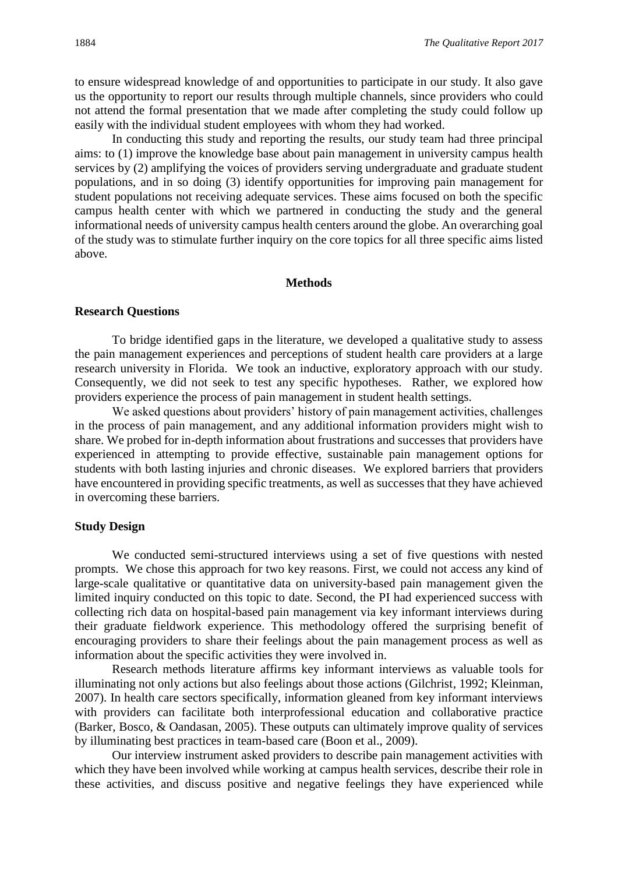to ensure widespread knowledge of and opportunities to participate in our study. It also gave us the opportunity to report our results through multiple channels, since providers who could not attend the formal presentation that we made after completing the study could follow up easily with the individual student employees with whom they had worked.

In conducting this study and reporting the results, our study team had three principal aims: to (1) improve the knowledge base about pain management in university campus health services by (2) amplifying the voices of providers serving undergraduate and graduate student populations, and in so doing (3) identify opportunities for improving pain management for student populations not receiving adequate services. These aims focused on both the specific campus health center with which we partnered in conducting the study and the general informational needs of university campus health centers around the globe. An overarching goal of the study was to stimulate further inquiry on the core topics for all three specific aims listed above.

#### **Methods**

#### **Research Questions**

To bridge identified gaps in the literature, we developed a qualitative study to assess the pain management experiences and perceptions of student health care providers at a large research university in Florida. We took an inductive, exploratory approach with our study. Consequently, we did not seek to test any specific hypotheses. Rather, we explored how providers experience the process of pain management in student health settings.

We asked questions about providers' history of pain management activities, challenges in the process of pain management, and any additional information providers might wish to share. We probed for in-depth information about frustrations and successes that providers have experienced in attempting to provide effective, sustainable pain management options for students with both lasting injuries and chronic diseases. We explored barriers that providers have encountered in providing specific treatments, as well as successes that they have achieved in overcoming these barriers.

#### **Study Design**

We conducted semi-structured interviews using a set of five questions with nested prompts. We chose this approach for two key reasons. First, we could not access any kind of large-scale qualitative or quantitative data on university-based pain management given the limited inquiry conducted on this topic to date. Second, the PI had experienced success with collecting rich data on hospital-based pain management via key informant interviews during their graduate fieldwork experience. This methodology offered the surprising benefit of encouraging providers to share their feelings about the pain management process as well as information about the specific activities they were involved in.

Research methods literature affirms key informant interviews as valuable tools for illuminating not only actions but also feelings about those actions (Gilchrist, 1992; Kleinman, 2007). In health care sectors specifically, information gleaned from key informant interviews with providers can facilitate both interprofessional education and collaborative practice (Barker, Bosco, & Oandasan, 2005). These outputs can ultimately improve quality of services by illuminating best practices in team-based care (Boon et al., 2009).

Our interview instrument asked providers to describe pain management activities with which they have been involved while working at campus health services, describe their role in these activities, and discuss positive and negative feelings they have experienced while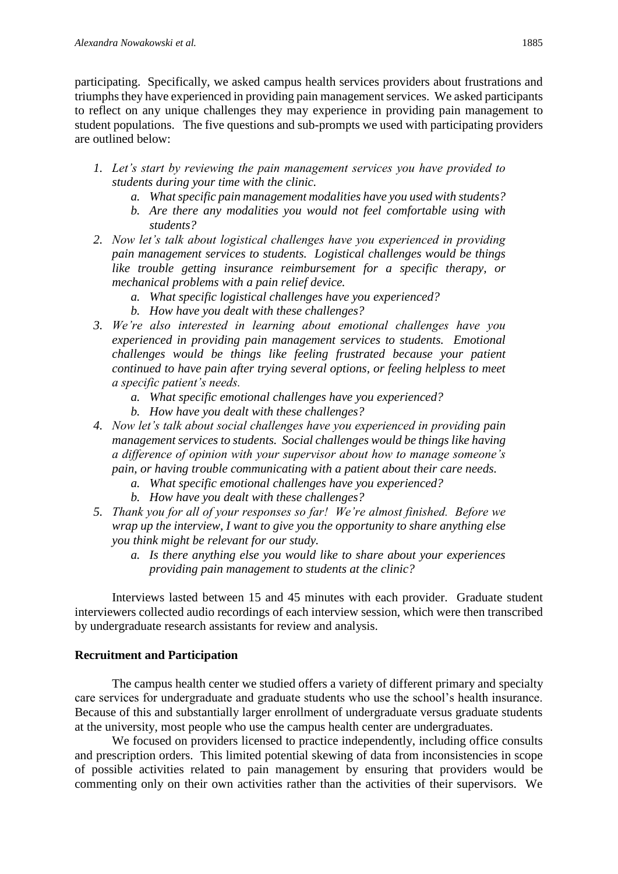participating. Specifically, we asked campus health services providers about frustrations and triumphs they have experienced in providing pain management services. We asked participants to reflect on any unique challenges they may experience in providing pain management to student populations. The five questions and sub-prompts we used with participating providers are outlined below:

- *1. Let's start by reviewing the pain management services you have provided to students during your time with the clinic.* 
	- *a. What specific pain management modalities have you used with students?*
	- *b. Are there any modalities you would not feel comfortable using with students?*
- *2. Now let's talk about logistical challenges have you experienced in providing pain management services to students. Logistical challenges would be things like trouble getting insurance reimbursement for a specific therapy, or mechanical problems with a pain relief device.*
	- *a. What specific logistical challenges have you experienced?*
	- *b. How have you dealt with these challenges?*
- *3. We're also interested in learning about emotional challenges have you experienced in providing pain management services to students. Emotional challenges would be things like feeling frustrated because your patient continued to have pain after trying several options, or feeling helpless to meet a specific patient's needs.*
	- *a. What specific emotional challenges have you experienced?*
	- *b. How have you dealt with these challenges?*
- *4. Now let's talk about social challenges have you experienced in providing pain management services to students. Social challenges would be things like having a difference of opinion with your supervisor about how to manage someone's pain, or having trouble communicating with a patient about their care needs.*
	- *a. What specific emotional challenges have you experienced?*
	- *b. How have you dealt with these challenges?*
- *5. Thank you for all of your responses so far! We're almost finished. Before we wrap up the interview, I want to give you the opportunity to share anything else you think might be relevant for our study.*
	- *a. Is there anything else you would like to share about your experiences providing pain management to students at the clinic?*

Interviews lasted between 15 and 45 minutes with each provider. Graduate student interviewers collected audio recordings of each interview session, which were then transcribed by undergraduate research assistants for review and analysis.

#### **Recruitment and Participation**

The campus health center we studied offers a variety of different primary and specialty care services for undergraduate and graduate students who use the school's health insurance. Because of this and substantially larger enrollment of undergraduate versus graduate students at the university, most people who use the campus health center are undergraduates.

We focused on providers licensed to practice independently, including office consults and prescription orders. This limited potential skewing of data from inconsistencies in scope of possible activities related to pain management by ensuring that providers would be commenting only on their own activities rather than the activities of their supervisors. We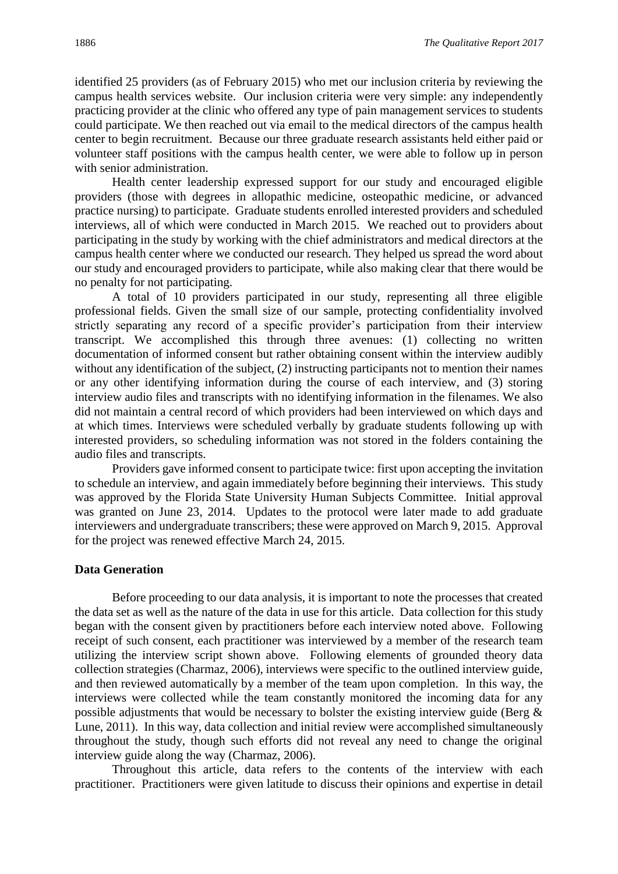identified 25 providers (as of February 2015) who met our inclusion criteria by reviewing the campus health services website. Our inclusion criteria were very simple: any independently practicing provider at the clinic who offered any type of pain management services to students could participate. We then reached out via email to the medical directors of the campus health center to begin recruitment. Because our three graduate research assistants held either paid or volunteer staff positions with the campus health center, we were able to follow up in person with senior administration.

Health center leadership expressed support for our study and encouraged eligible providers (those with degrees in allopathic medicine, osteopathic medicine, or advanced practice nursing) to participate. Graduate students enrolled interested providers and scheduled interviews, all of which were conducted in March 2015. We reached out to providers about participating in the study by working with the chief administrators and medical directors at the campus health center where we conducted our research. They helped us spread the word about our study and encouraged providers to participate, while also making clear that there would be no penalty for not participating.

A total of 10 providers participated in our study, representing all three eligible professional fields. Given the small size of our sample, protecting confidentiality involved strictly separating any record of a specific provider's participation from their interview transcript. We accomplished this through three avenues: (1) collecting no written documentation of informed consent but rather obtaining consent within the interview audibly without any identification of the subject, (2) instructing participants not to mention their names or any other identifying information during the course of each interview, and (3) storing interview audio files and transcripts with no identifying information in the filenames. We also did not maintain a central record of which providers had been interviewed on which days and at which times. Interviews were scheduled verbally by graduate students following up with interested providers, so scheduling information was not stored in the folders containing the audio files and transcripts.

Providers gave informed consent to participate twice: first upon accepting the invitation to schedule an interview, and again immediately before beginning their interviews. This study was approved by the Florida State University Human Subjects Committee. Initial approval was granted on June 23, 2014. Updates to the protocol were later made to add graduate interviewers and undergraduate transcribers; these were approved on March 9, 2015. Approval for the project was renewed effective March 24, 2015.

#### **Data Generation**

Before proceeding to our data analysis, it is important to note the processes that created the data set as well as the nature of the data in use for this article. Data collection for this study began with the consent given by practitioners before each interview noted above. Following receipt of such consent, each practitioner was interviewed by a member of the research team utilizing the interview script shown above. Following elements of grounded theory data collection strategies (Charmaz, 2006), interviews were specific to the outlined interview guide, and then reviewed automatically by a member of the team upon completion. In this way, the interviews were collected while the team constantly monitored the incoming data for any possible adjustments that would be necessary to bolster the existing interview guide (Berg  $\&$ Lune, 2011). In this way, data collection and initial review were accomplished simultaneously throughout the study, though such efforts did not reveal any need to change the original interview guide along the way (Charmaz, 2006).

Throughout this article, data refers to the contents of the interview with each practitioner. Practitioners were given latitude to discuss their opinions and expertise in detail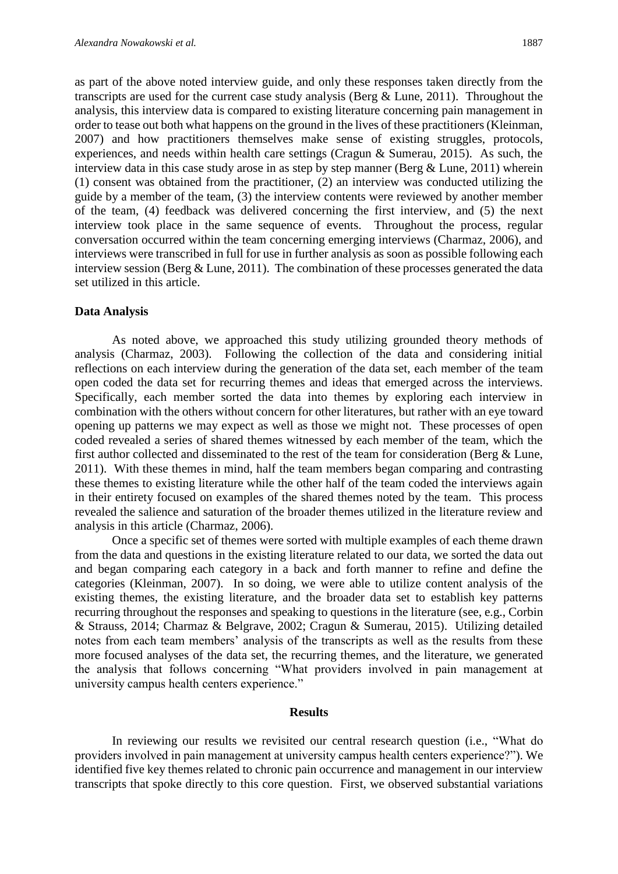as part of the above noted interview guide, and only these responses taken directly from the transcripts are used for the current case study analysis (Berg & Lune, 2011). Throughout the analysis, this interview data is compared to existing literature concerning pain management in order to tease out both what happens on the ground in the lives of these practitioners (Kleinman, 2007) and how practitioners themselves make sense of existing struggles, protocols, experiences, and needs within health care settings (Cragun & Sumerau, 2015). As such, the interview data in this case study arose in as step by step manner (Berg & Lune, 2011) wherein (1) consent was obtained from the practitioner, (2) an interview was conducted utilizing the guide by a member of the team, (3) the interview contents were reviewed by another member of the team, (4) feedback was delivered concerning the first interview, and (5) the next interview took place in the same sequence of events. Throughout the process, regular conversation occurred within the team concerning emerging interviews (Charmaz, 2006), and interviews were transcribed in full for use in further analysis as soon as possible following each interview session (Berg  $&$  Lune, 2011). The combination of these processes generated the data set utilized in this article.

#### **Data Analysis**

As noted above, we approached this study utilizing grounded theory methods of analysis (Charmaz, 2003). Following the collection of the data and considering initial reflections on each interview during the generation of the data set, each member of the team open coded the data set for recurring themes and ideas that emerged across the interviews. Specifically, each member sorted the data into themes by exploring each interview in combination with the others without concern for other literatures, but rather with an eye toward opening up patterns we may expect as well as those we might not. These processes of open coded revealed a series of shared themes witnessed by each member of the team, which the first author collected and disseminated to the rest of the team for consideration (Berg & Lune, 2011). With these themes in mind, half the team members began comparing and contrasting these themes to existing literature while the other half of the team coded the interviews again in their entirety focused on examples of the shared themes noted by the team. This process revealed the salience and saturation of the broader themes utilized in the literature review and analysis in this article (Charmaz, 2006).

Once a specific set of themes were sorted with multiple examples of each theme drawn from the data and questions in the existing literature related to our data, we sorted the data out and began comparing each category in a back and forth manner to refine and define the categories (Kleinman, 2007). In so doing, we were able to utilize content analysis of the existing themes, the existing literature, and the broader data set to establish key patterns recurring throughout the responses and speaking to questions in the literature (see, e.g., Corbin & Strauss, 2014; Charmaz & Belgrave, 2002; Cragun & Sumerau, 2015). Utilizing detailed notes from each team members' analysis of the transcripts as well as the results from these more focused analyses of the data set, the recurring themes, and the literature, we generated the analysis that follows concerning "What providers involved in pain management at university campus health centers experience."

#### **Results**

In reviewing our results we revisited our central research question (i.e., "What do providers involved in pain management at university campus health centers experience?"). We identified five key themes related to chronic pain occurrence and management in our interview transcripts that spoke directly to this core question. First, we observed substantial variations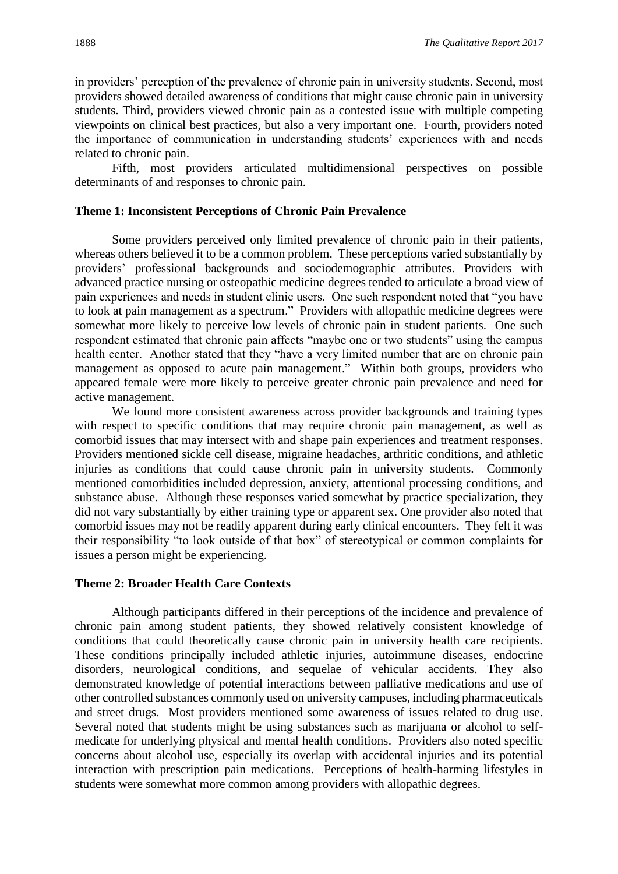in providers' perception of the prevalence of chronic pain in university students. Second, most providers showed detailed awareness of conditions that might cause chronic pain in university students. Third, providers viewed chronic pain as a contested issue with multiple competing viewpoints on clinical best practices, but also a very important one. Fourth, providers noted the importance of communication in understanding students' experiences with and needs related to chronic pain.

Fifth, most providers articulated multidimensional perspectives on possible determinants of and responses to chronic pain.

#### **Theme 1: Inconsistent Perceptions of Chronic Pain Prevalence**

Some providers perceived only limited prevalence of chronic pain in their patients, whereas others believed it to be a common problem. These perceptions varied substantially by providers' professional backgrounds and sociodemographic attributes. Providers with advanced practice nursing or osteopathic medicine degrees tended to articulate a broad view of pain experiences and needs in student clinic users. One such respondent noted that "you have to look at pain management as a spectrum." Providers with allopathic medicine degrees were somewhat more likely to perceive low levels of chronic pain in student patients. One such respondent estimated that chronic pain affects "maybe one or two students" using the campus health center. Another stated that they "have a very limited number that are on chronic pain management as opposed to acute pain management." Within both groups, providers who appeared female were more likely to perceive greater chronic pain prevalence and need for active management.

We found more consistent awareness across provider backgrounds and training types with respect to specific conditions that may require chronic pain management, as well as comorbid issues that may intersect with and shape pain experiences and treatment responses. Providers mentioned sickle cell disease, migraine headaches, arthritic conditions, and athletic injuries as conditions that could cause chronic pain in university students. Commonly mentioned comorbidities included depression, anxiety, attentional processing conditions, and substance abuse. Although these responses varied somewhat by practice specialization, they did not vary substantially by either training type or apparent sex. One provider also noted that comorbid issues may not be readily apparent during early clinical encounters. They felt it was their responsibility "to look outside of that box" of stereotypical or common complaints for issues a person might be experiencing.

#### **Theme 2: Broader Health Care Contexts**

Although participants differed in their perceptions of the incidence and prevalence of chronic pain among student patients, they showed relatively consistent knowledge of conditions that could theoretically cause chronic pain in university health care recipients. These conditions principally included athletic injuries, autoimmune diseases, endocrine disorders, neurological conditions, and sequelae of vehicular accidents. They also demonstrated knowledge of potential interactions between palliative medications and use of other controlled substances commonly used on university campuses, including pharmaceuticals and street drugs. Most providers mentioned some awareness of issues related to drug use. Several noted that students might be using substances such as marijuana or alcohol to selfmedicate for underlying physical and mental health conditions. Providers also noted specific concerns about alcohol use, especially its overlap with accidental injuries and its potential interaction with prescription pain medications. Perceptions of health-harming lifestyles in students were somewhat more common among providers with allopathic degrees.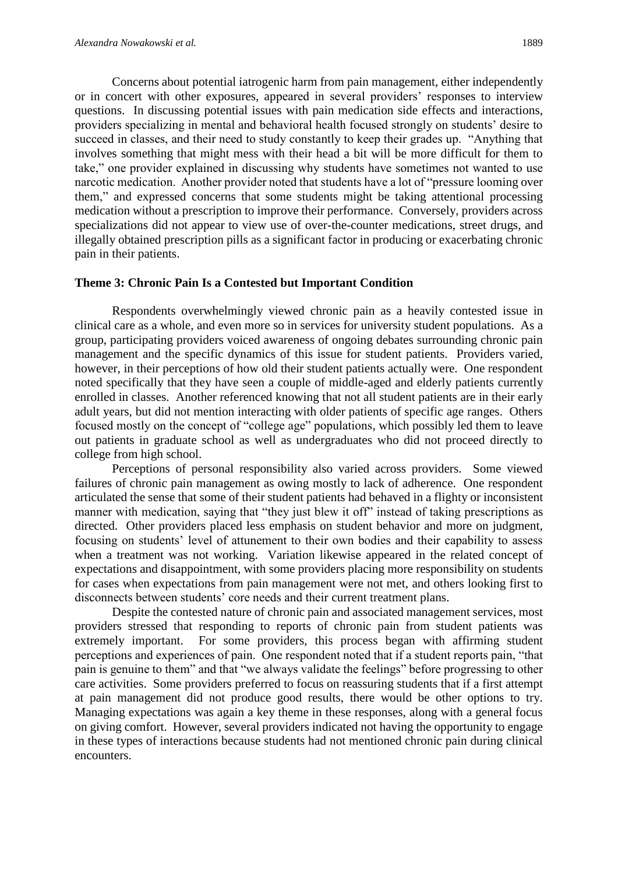Concerns about potential iatrogenic harm from pain management, either independently or in concert with other exposures, appeared in several providers' responses to interview questions. In discussing potential issues with pain medication side effects and interactions, providers specializing in mental and behavioral health focused strongly on students' desire to succeed in classes, and their need to study constantly to keep their grades up. "Anything that involves something that might mess with their head a bit will be more difficult for them to take," one provider explained in discussing why students have sometimes not wanted to use narcotic medication. Another provider noted that students have a lot of "pressure looming over them," and expressed concerns that some students might be taking attentional processing medication without a prescription to improve their performance. Conversely, providers across specializations did not appear to view use of over-the-counter medications, street drugs, and illegally obtained prescription pills as a significant factor in producing or exacerbating chronic pain in their patients.

#### **Theme 3: Chronic Pain Is a Contested but Important Condition**

Respondents overwhelmingly viewed chronic pain as a heavily contested issue in clinical care as a whole, and even more so in services for university student populations. As a group, participating providers voiced awareness of ongoing debates surrounding chronic pain management and the specific dynamics of this issue for student patients. Providers varied, however, in their perceptions of how old their student patients actually were. One respondent noted specifically that they have seen a couple of middle-aged and elderly patients currently enrolled in classes. Another referenced knowing that not all student patients are in their early adult years, but did not mention interacting with older patients of specific age ranges. Others focused mostly on the concept of "college age" populations, which possibly led them to leave out patients in graduate school as well as undergraduates who did not proceed directly to college from high school.

Perceptions of personal responsibility also varied across providers. Some viewed failures of chronic pain management as owing mostly to lack of adherence. One respondent articulated the sense that some of their student patients had behaved in a flighty or inconsistent manner with medication, saying that "they just blew it off" instead of taking prescriptions as directed. Other providers placed less emphasis on student behavior and more on judgment, focusing on students' level of attunement to their own bodies and their capability to assess when a treatment was not working. Variation likewise appeared in the related concept of expectations and disappointment, with some providers placing more responsibility on students for cases when expectations from pain management were not met, and others looking first to disconnects between students' core needs and their current treatment plans.

Despite the contested nature of chronic pain and associated management services, most providers stressed that responding to reports of chronic pain from student patients was extremely important. For some providers, this process began with affirming student perceptions and experiences of pain. One respondent noted that if a student reports pain, "that pain is genuine to them" and that "we always validate the feelings" before progressing to other care activities. Some providers preferred to focus on reassuring students that if a first attempt at pain management did not produce good results, there would be other options to try. Managing expectations was again a key theme in these responses, along with a general focus on giving comfort. However, several providers indicated not having the opportunity to engage in these types of interactions because students had not mentioned chronic pain during clinical encounters.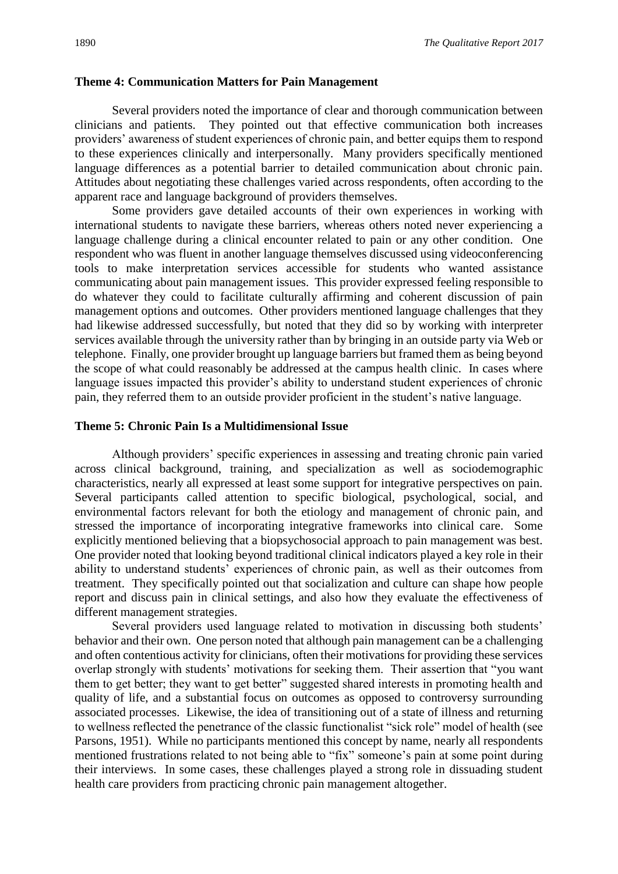#### **Theme 4: Communication Matters for Pain Management**

Several providers noted the importance of clear and thorough communication between clinicians and patients. They pointed out that effective communication both increases providers' awareness of student experiences of chronic pain, and better equips them to respond to these experiences clinically and interpersonally. Many providers specifically mentioned language differences as a potential barrier to detailed communication about chronic pain. Attitudes about negotiating these challenges varied across respondents, often according to the apparent race and language background of providers themselves.

Some providers gave detailed accounts of their own experiences in working with international students to navigate these barriers, whereas others noted never experiencing a language challenge during a clinical encounter related to pain or any other condition. One respondent who was fluent in another language themselves discussed using videoconferencing tools to make interpretation services accessible for students who wanted assistance communicating about pain management issues. This provider expressed feeling responsible to do whatever they could to facilitate culturally affirming and coherent discussion of pain management options and outcomes. Other providers mentioned language challenges that they had likewise addressed successfully, but noted that they did so by working with interpreter services available through the university rather than by bringing in an outside party via Web or telephone. Finally, one provider brought up language barriers but framed them as being beyond the scope of what could reasonably be addressed at the campus health clinic. In cases where language issues impacted this provider's ability to understand student experiences of chronic pain, they referred them to an outside provider proficient in the student's native language.

#### **Theme 5: Chronic Pain Is a Multidimensional Issue**

Although providers' specific experiences in assessing and treating chronic pain varied across clinical background, training, and specialization as well as sociodemographic characteristics, nearly all expressed at least some support for integrative perspectives on pain. Several participants called attention to specific biological, psychological, social, and environmental factors relevant for both the etiology and management of chronic pain, and stressed the importance of incorporating integrative frameworks into clinical care. Some explicitly mentioned believing that a biopsychosocial approach to pain management was best. One provider noted that looking beyond traditional clinical indicators played a key role in their ability to understand students' experiences of chronic pain, as well as their outcomes from treatment. They specifically pointed out that socialization and culture can shape how people report and discuss pain in clinical settings, and also how they evaluate the effectiveness of different management strategies.

Several providers used language related to motivation in discussing both students' behavior and their own. One person noted that although pain management can be a challenging and often contentious activity for clinicians, often their motivations for providing these services overlap strongly with students' motivations for seeking them. Their assertion that "you want them to get better; they want to get better" suggested shared interests in promoting health and quality of life, and a substantial focus on outcomes as opposed to controversy surrounding associated processes. Likewise, the idea of transitioning out of a state of illness and returning to wellness reflected the penetrance of the classic functionalist "sick role" model of health (see Parsons, 1951). While no participants mentioned this concept by name, nearly all respondents mentioned frustrations related to not being able to "fix" someone's pain at some point during their interviews. In some cases, these challenges played a strong role in dissuading student health care providers from practicing chronic pain management altogether.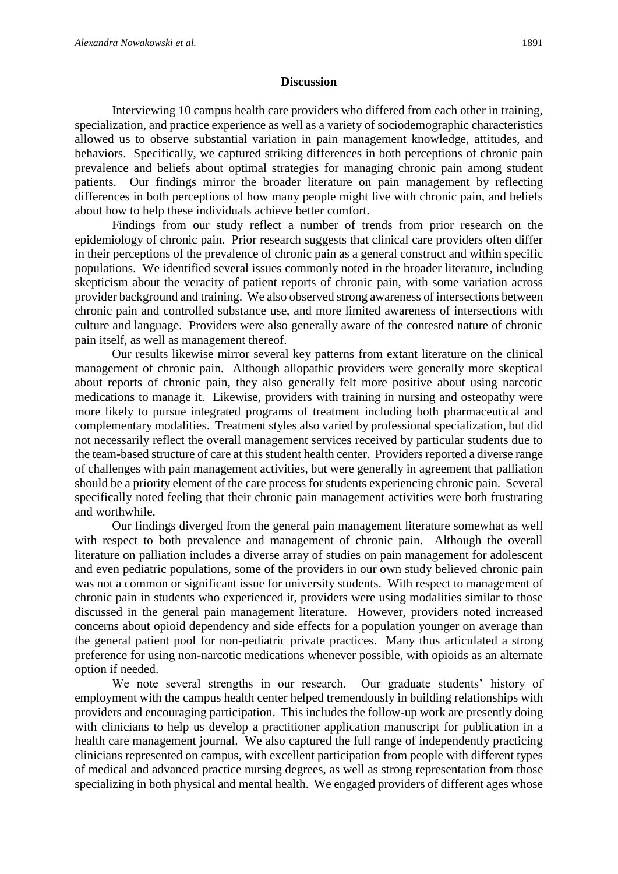#### **Discussion**

Interviewing 10 campus health care providers who differed from each other in training, specialization, and practice experience as well as a variety of sociodemographic characteristics allowed us to observe substantial variation in pain management knowledge, attitudes, and behaviors. Specifically, we captured striking differences in both perceptions of chronic pain prevalence and beliefs about optimal strategies for managing chronic pain among student patients. Our findings mirror the broader literature on pain management by reflecting differences in both perceptions of how many people might live with chronic pain, and beliefs about how to help these individuals achieve better comfort.

Findings from our study reflect a number of trends from prior research on the epidemiology of chronic pain. Prior research suggests that clinical care providers often differ in their perceptions of the prevalence of chronic pain as a general construct and within specific populations. We identified several issues commonly noted in the broader literature, including skepticism about the veracity of patient reports of chronic pain, with some variation across provider background and training. We also observed strong awareness of intersections between chronic pain and controlled substance use, and more limited awareness of intersections with culture and language. Providers were also generally aware of the contested nature of chronic pain itself, as well as management thereof.

Our results likewise mirror several key patterns from extant literature on the clinical management of chronic pain. Although allopathic providers were generally more skeptical about reports of chronic pain, they also generally felt more positive about using narcotic medications to manage it. Likewise, providers with training in nursing and osteopathy were more likely to pursue integrated programs of treatment including both pharmaceutical and complementary modalities. Treatment styles also varied by professional specialization, but did not necessarily reflect the overall management services received by particular students due to the team-based structure of care at this student health center. Providers reported a diverse range of challenges with pain management activities, but were generally in agreement that palliation should be a priority element of the care process for students experiencing chronic pain. Several specifically noted feeling that their chronic pain management activities were both frustrating and worthwhile.

Our findings diverged from the general pain management literature somewhat as well with respect to both prevalence and management of chronic pain. Although the overall literature on palliation includes a diverse array of studies on pain management for adolescent and even pediatric populations, some of the providers in our own study believed chronic pain was not a common or significant issue for university students. With respect to management of chronic pain in students who experienced it, providers were using modalities similar to those discussed in the general pain management literature. However, providers noted increased concerns about opioid dependency and side effects for a population younger on average than the general patient pool for non-pediatric private practices. Many thus articulated a strong preference for using non-narcotic medications whenever possible, with opioids as an alternate option if needed.

We note several strengths in our research. Our graduate students' history of employment with the campus health center helped tremendously in building relationships with providers and encouraging participation. This includes the follow-up work are presently doing with clinicians to help us develop a practitioner application manuscript for publication in a health care management journal. We also captured the full range of independently practicing clinicians represented on campus, with excellent participation from people with different types of medical and advanced practice nursing degrees, as well as strong representation from those specializing in both physical and mental health. We engaged providers of different ages whose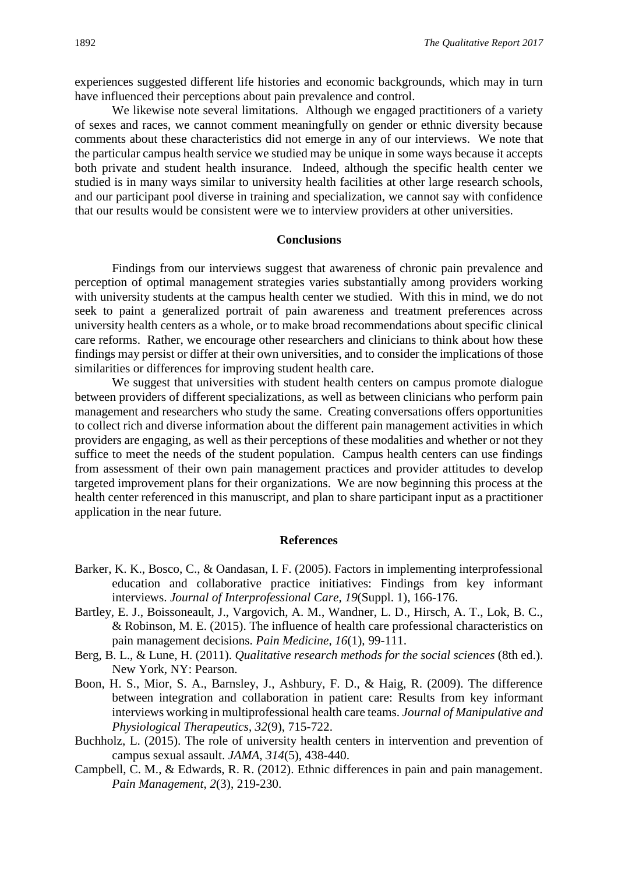experiences suggested different life histories and economic backgrounds, which may in turn have influenced their perceptions about pain prevalence and control.

We likewise note several limitations. Although we engaged practitioners of a variety of sexes and races, we cannot comment meaningfully on gender or ethnic diversity because comments about these characteristics did not emerge in any of our interviews. We note that the particular campus health service we studied may be unique in some ways because it accepts both private and student health insurance. Indeed, although the specific health center we studied is in many ways similar to university health facilities at other large research schools, and our participant pool diverse in training and specialization, we cannot say with confidence that our results would be consistent were we to interview providers at other universities.

#### **Conclusions**

Findings from our interviews suggest that awareness of chronic pain prevalence and perception of optimal management strategies varies substantially among providers working with university students at the campus health center we studied. With this in mind, we do not seek to paint a generalized portrait of pain awareness and treatment preferences across university health centers as a whole, or to make broad recommendations about specific clinical care reforms. Rather, we encourage other researchers and clinicians to think about how these findings may persist or differ at their own universities, and to consider the implications of those similarities or differences for improving student health care.

We suggest that universities with student health centers on campus promote dialogue between providers of different specializations, as well as between clinicians who perform pain management and researchers who study the same. Creating conversations offers opportunities to collect rich and diverse information about the different pain management activities in which providers are engaging, as well as their perceptions of these modalities and whether or not they suffice to meet the needs of the student population. Campus health centers can use findings from assessment of their own pain management practices and provider attitudes to develop targeted improvement plans for their organizations. We are now beginning this process at the health center referenced in this manuscript, and plan to share participant input as a practitioner application in the near future.

#### **References**

- Barker, K. K., Bosco, C., & Oandasan, I. F. (2005). Factors in implementing interprofessional education and collaborative practice initiatives: Findings from key informant interviews. *Journal of Interprofessional Care*, *19*(Suppl. 1), 166-176.
- Bartley, E. J., Boissoneault, J., Vargovich, A. M., Wandner, L. D., Hirsch, A. T., Lok, B. C., & Robinson, M. E. (2015). The influence of health care professional characteristics on pain management decisions. *Pain Medicine*, *16*(1), 99-111.
- Berg, B. L., & Lune, H. (2011). *Qualitative research methods for the social sciences* (8th ed.). New York, NY: Pearson.
- Boon, H. S., Mior, S. A., Barnsley, J., Ashbury, F. D., & Haig, R. (2009). The difference between integration and collaboration in patient care: Results from key informant interviews working in multiprofessional health care teams. *Journal of Manipulative and Physiological Therapeutics*, *32*(9), 715-722.
- Buchholz, L. (2015). The role of university health centers in intervention and prevention of campus sexual assault. *JAMA*, *314*(5), 438-440.
- Campbell, C. M., & Edwards, R. R. (2012). Ethnic differences in pain and pain management. *Pain Management*, *2*(3), 219-230.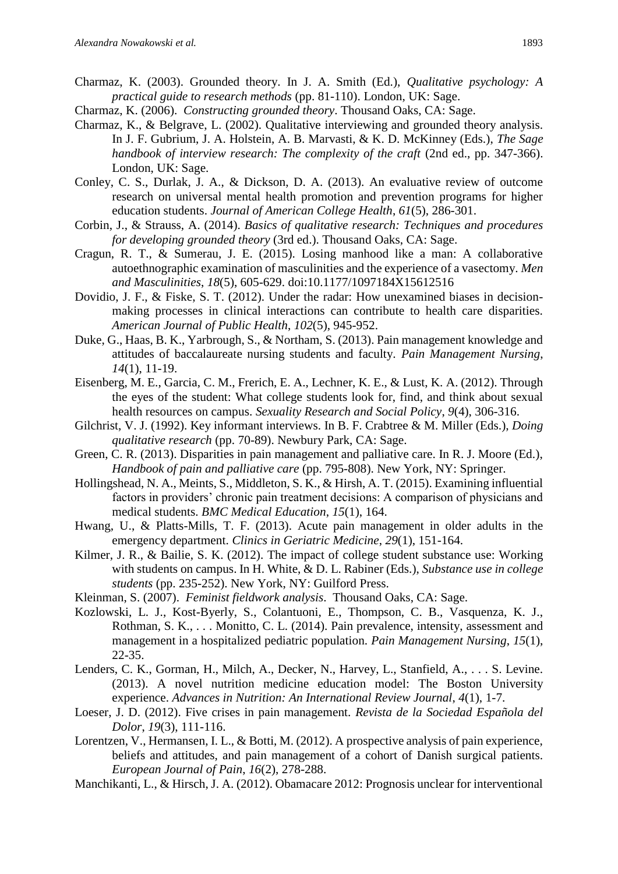- Charmaz, K. (2003). Grounded theory. In J. A. Smith (Ed.), *Qualitative psychology: A practical guide to research methods* (pp. 81-110). London, UK: Sage.
- Charmaz, K. (2006). *Constructing grounded theory*. Thousand Oaks, CA: Sage.
- Charmaz, K., & Belgrave, L. (2002). Qualitative interviewing and grounded theory analysis. In J. F. Gubrium, J. A. Holstein, A. B. Marvasti, & K. D. McKinney (Eds.), *The Sage handbook of interview research: The complexity of the craft* (2nd ed., pp. 347-366). London, UK: Sage.
- Conley, C. S., Durlak, J. A., & Dickson, D. A. (2013). An evaluative review of outcome research on universal mental health promotion and prevention programs for higher education students. *Journal of American College Health*, *61*(5), 286-301.
- Corbin, J., & Strauss, A. (2014). *Basics of qualitative research: Techniques and procedures for developing grounded theory* (3rd ed.). Thousand Oaks, CA: Sage.
- Cragun, R. T., & Sumerau, J. E. (2015). Losing manhood like a man: A collaborative autoethnographic examination of masculinities and the experience of a vasectomy. *Men and Masculinities*, *18*(5), 605-629. doi:10.1177/1097184X15612516
- Dovidio, J. F., & Fiske, S. T. (2012). Under the radar: How unexamined biases in decisionmaking processes in clinical interactions can contribute to health care disparities. *American Journal of Public Health*, *102*(5), 945-952.
- Duke, G., Haas, B. K., Yarbrough, S., & Northam, S. (2013). Pain management knowledge and attitudes of baccalaureate nursing students and faculty. *Pain Management Nursing*, *14*(1), 11-19.
- Eisenberg, M. E., Garcia, C. M., Frerich, E. A., Lechner, K. E., & Lust, K. A. (2012). Through the eyes of the student: What college students look for, find, and think about sexual health resources on campus. *Sexuality Research and Social Policy*, *9*(4), 306-316.
- Gilchrist, V. J. (1992). Key informant interviews. In B. F. Crabtree & M. Miller (Eds.), *Doing qualitative research* (pp. 70-89). Newbury Park, CA: Sage.
- Green, C. R. (2013). Disparities in pain management and palliative care. In R. J. Moore (Ed.), *Handbook of pain and palliative care* (pp. 795-808). New York, NY: Springer.
- Hollingshead, N. A., Meints, S., Middleton, S. K., & Hirsh, A. T. (2015). Examining influential factors in providers' chronic pain treatment decisions: A comparison of physicians and medical students. *BMC Medical Education*, *15*(1), 164.
- Hwang, U., & Platts-Mills, T. F. (2013). Acute pain management in older adults in the emergency department. *Clinics in Geriatric Medicine*, *29*(1), 151-164.
- Kilmer, J. R., & Bailie, S. K. (2012). The impact of college student substance use: Working with students on campus. In H. White, & D. L. Rabiner (Eds.), *Substance use in college students* (pp. 235-252). New York, NY: Guilford Press.
- Kleinman, S. (2007). *Feminist fieldwork analysis*. Thousand Oaks, CA: Sage.
- Kozlowski, L. J., Kost-Byerly, S., Colantuoni, E., Thompson, C. B., Vasquenza, K. J., Rothman, S. K., . . . Monitto, C. L. (2014). Pain prevalence, intensity, assessment and management in a hospitalized pediatric population. *Pain Management Nursing*, *15*(1), 22-35.
- Lenders, C. K., Gorman, H., Milch, A., Decker, N., Harvey, L., Stanfield, A., . . . S. Levine. (2013). A novel nutrition medicine education model: The Boston University experience. *Advances in Nutrition: An International Review Journal*, *4*(1), 1-7.
- Loeser, J. D. (2012). Five crises in pain management. *Revista de la Sociedad Española del Dolor*, *19*(3), 111-116.
- Lorentzen, V., Hermansen, I. L., & Botti, M. (2012). A prospective analysis of pain experience, beliefs and attitudes, and pain management of a cohort of Danish surgical patients. *European Journal of Pain*, *16*(2), 278-288.
- Manchikanti, L., & Hirsch, J. A. (2012). Obamacare 2012: Prognosis unclear for interventional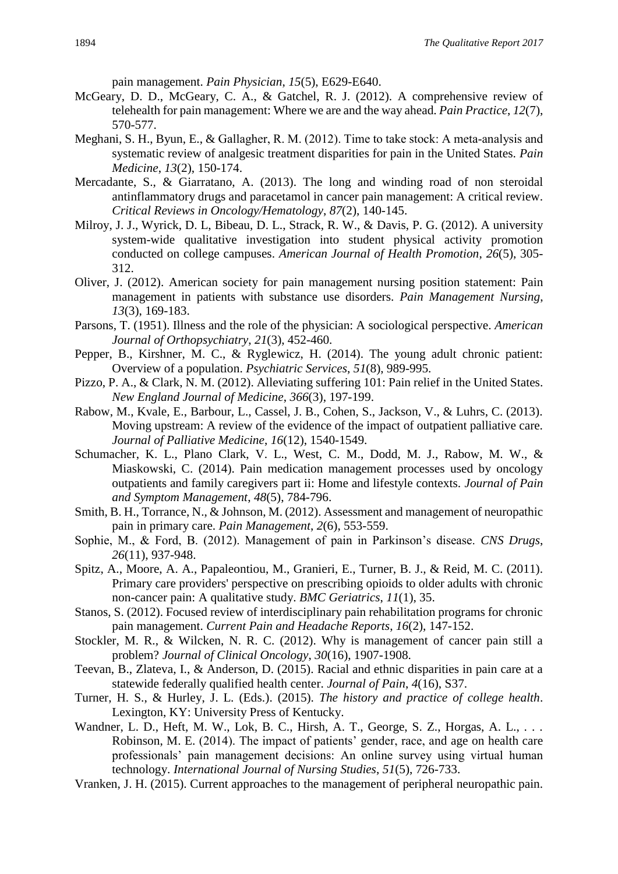pain management. *Pain Physician*, *15*(5), E629-E640.

- McGeary, D. D., McGeary, C. A., & Gatchel, R. J. (2012). A comprehensive review of telehealth for pain management: Where we are and the way ahead. *Pain Practice*, *12*(7), 570-577.
- Meghani, S. H., Byun, E., & Gallagher, R. M. (2012). Time to take stock: A meta-analysis and systematic review of analgesic treatment disparities for pain in the United States. *Pain Medicine*, *13*(2), 150-174.
- Mercadante, S., & Giarratano, A. (2013). The long and winding road of non steroidal antinflammatory drugs and paracetamol in cancer pain management: A critical review. *Critical Reviews in Oncology/Hematology*, *87*(2), 140-145.
- Milroy, J. J., Wyrick, D. L, Bibeau, D. L., Strack, R. W., & Davis, P. G. (2012). A university system-wide qualitative investigation into student physical activity promotion conducted on college campuses. *American Journal of Health Promotion*, *26*(5), 305- 312.
- Oliver, J. (2012). American society for pain management nursing position statement: Pain management in patients with substance use disorders. *Pain Management Nursing*, *13*(3), 169-183.
- Parsons, T. (1951). Illness and the role of the physician: A sociological perspective. *American Journal of Orthopsychiatry*, *21*(3), 452-460.
- Pepper, B., Kirshner, M. C., & Ryglewicz, H. (2014). The young adult chronic patient: Overview of a population. *Psychiatric Services*, *51*(8), 989-995.
- Pizzo, P. A., & Clark, N. M. (2012). Alleviating suffering 101: Pain relief in the United States. *New England Journal of Medicine*, *366*(3), 197-199.
- Rabow, M., Kvale, E., Barbour, L., Cassel, J. B., Cohen, S., Jackson, V., & Luhrs, C. (2013). Moving upstream: A review of the evidence of the impact of outpatient palliative care. *Journal of Palliative Medicine*, *16*(12), 1540-1549.
- Schumacher, K. L., Plano Clark, V. L., West, C. M., Dodd, M. J., Rabow, M. W., & Miaskowski, C. (2014). Pain medication management processes used by oncology outpatients and family caregivers part ii: Home and lifestyle contexts. *Journal of Pain and Symptom Management*, *48*(5), 784-796.
- Smith, B. H., Torrance, N., & Johnson, M. (2012). Assessment and management of neuropathic pain in primary care. *Pain Management*, *2*(6), 553-559.
- Sophie, M., & Ford, B. (2012). Management of pain in Parkinson's disease. *CNS Drugs*, *26*(11), 937-948.
- Spitz, A., Moore, A. A., Papaleontiou, M., Granieri, E., Turner, B. J., & Reid, M. C. (2011). Primary care providers' perspective on prescribing opioids to older adults with chronic non-cancer pain: A qualitative study. *BMC Geriatrics*, *11*(1), 35.
- Stanos, S. (2012). Focused review of interdisciplinary pain rehabilitation programs for chronic pain management. *Current Pain and Headache Reports*, *16*(2), 147-152.
- Stockler, M. R., & Wilcken, N. R. C. (2012). Why is management of cancer pain still a problem? *Journal of Clinical Oncology*, *30*(16), 1907-1908.
- Teevan, B., Zlateva, I., & Anderson, D. (2015). Racial and ethnic disparities in pain care at a statewide federally qualified health center. *Journal of Pain*, *4*(16), S37.
- Turner, H. S., & Hurley, J. L. (Eds.). (2015). *The history and practice of college health*. Lexington, KY: University Press of Kentucky.
- Wandner, L. D., Heft, M. W., Lok, B. C., Hirsh, A. T., George, S. Z., Horgas, A. L., . . . Robinson, M. E. (2014). The impact of patients' gender, race, and age on health care professionals' pain management decisions: An online survey using virtual human technology. *International Journal of Nursing Studies*, *51*(5), 726-733.
- Vranken, J. H. (2015). Current approaches to the management of peripheral neuropathic pain.